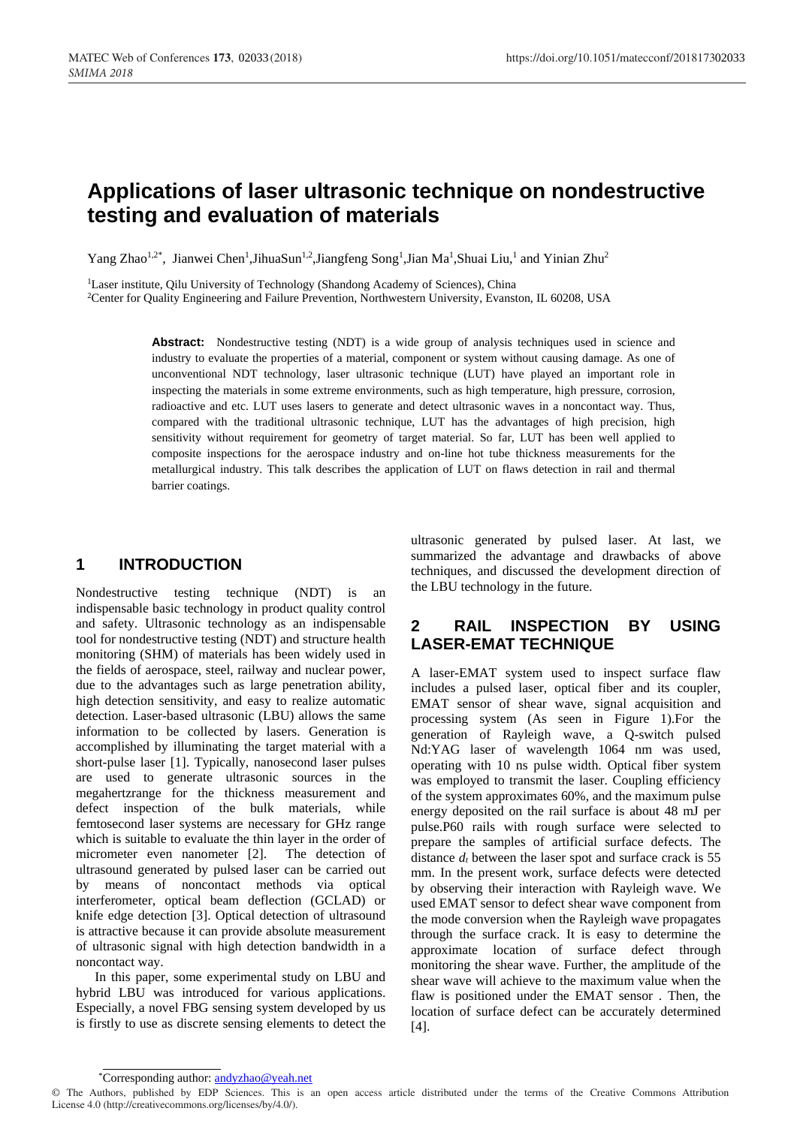# **Applications of laser ultrasonic technique on nondestructive testing and evaluation of materials**

Yang Zhao<sup>1,2\*</sup>, Jianwei Chen<sup>1</sup>, JihuaSun<sup>1,2</sup>, Jiangfeng Song<sup>1</sup>, Jian Ma<sup>1</sup>, Shuai Liu,<sup>1</sup> and Yinian Zhu<sup>2</sup>

<sup>1</sup>Laser institute, Qilu University of Technology (Shandong Academy of Sciences), China <sup>2</sup>Center for Quality Engineering and Failure Prevention, Northwestern University, Evanston, IL 60208, USA

> **Abstract:** Nondestructive testing (NDT) is a wide group of analysis techniques used in science and industry to evaluate the properties of a material, component or system without causing damage. As one of unconventional NDT technology, laser ultrasonic technique (LUT) have played an important role in inspecting the materials in some extreme environments, such as high temperature, high pressure, corrosion, radioactive and etc. LUT uses lasers to generate and detect ultrasonic waves in a noncontact way. Thus, compared with the traditional ultrasonic technique, LUT has the advantages of high precision, high sensitivity without requirement for geometry of target material. So far, LUT has been well applied to composite inspections for the aerospace industry and on-line hot tube thickness measurements for the metallurgical industry. This talk describes the application of LUT on flaws detection in rail and thermal barrier coatings.

### **1 INTRODUCTION**

Nondestructive testing technique (NDT) is an indispensable basic technology in product quality control and safety. Ultrasonic technology as an indispensable tool for nondestructive testing (NDT) and structure health monitoring (SHM) of materials has been widely used in the fields of aerospace, steel, railway and nuclear power, due to the advantages such as large penetration ability, high detection sensitivity, and easy to realize automatic detection. Laser-based ultrasonic (LBU) allows the same information to be collected by lasers. Generation is accomplished by illuminating the target material with a short-pulse laser [1]. Typically, nanosecond laser pulses are used to generate ultrasonic sources in the megahertzrange for the thickness measurement and defect inspection of the bulk materials, while femtosecond laser systems are necessary for GHz range which is suitable to evaluate the thin layer in the order of micrometer even nanometer [2]. The detection of ultrasound generated by pulsed laser can be carried out by means of noncontact methods via optical interferometer, optical beam deflection (GCLAD) or knife edge detection [3]. Optical detection of ultrasound is attractive because it can provide absolute measurement of ultrasonic signal with high detection bandwidth in a noncontact way.

In this paper, some experimental study on LBU and hybrid LBU was introduced for various applications. Especially, a novel FBG sensing system developed by us is firstly to use as discrete sensing elements to detect the ultrasonic generated by pulsed laser. At last, we summarized the advantage and drawbacks of above techniques, and discussed the development direction of the LBU technology in the future.

### **2 RAIL INSPECTION BY USING LASER-EMAT TECHNIQUE**

A laser-EMAT system used to inspect surface flaw includes a pulsed laser, optical fiber and its coupler, EMAT sensor of shear wave, signal acquisition and processing system (As seen in Figure 1).For the generation of Rayleigh wave, a Q-switch pulsed Nd:YAG laser of wavelength 1064 nm was used, operating with 10 ns pulse width. Optical fiber system was employed to transmit the laser. Coupling efficiency of the system approximates 60%, and the maximum pulse energy deposited on the rail surface is about 48 mJ per pulse.P60 rails with rough surface were selected to prepare the samples of artificial surface defects. The distance  $d_t$  between the laser spot and surface crack is 55 mm. In the present work, surface defects were detected by observing their interaction with Rayleigh wave. We used EMAT sensor to defect shear wave component from the mode conversion when the Rayleigh wave propagates through the surface crack. It is easy to determine the approximate location of surface defect through monitoring the shear wave. Further, the amplitude of the shear wave will achieve to the maximum value when the flaw is positioned under the EMAT sensor . Then, the location of surface defect can be accurately determined [4].

<sup>\*</sup>Corresponding author[: andyzhao@yeah.net](mailto:andyzhao@yeah.net)

<sup>©</sup> The Authors, published by EDP Sciences. This is an open access article distributed under the terms of the Creative Commons Attribution License 4.0 (http://creativecommons.org/licenses/by/4.0/).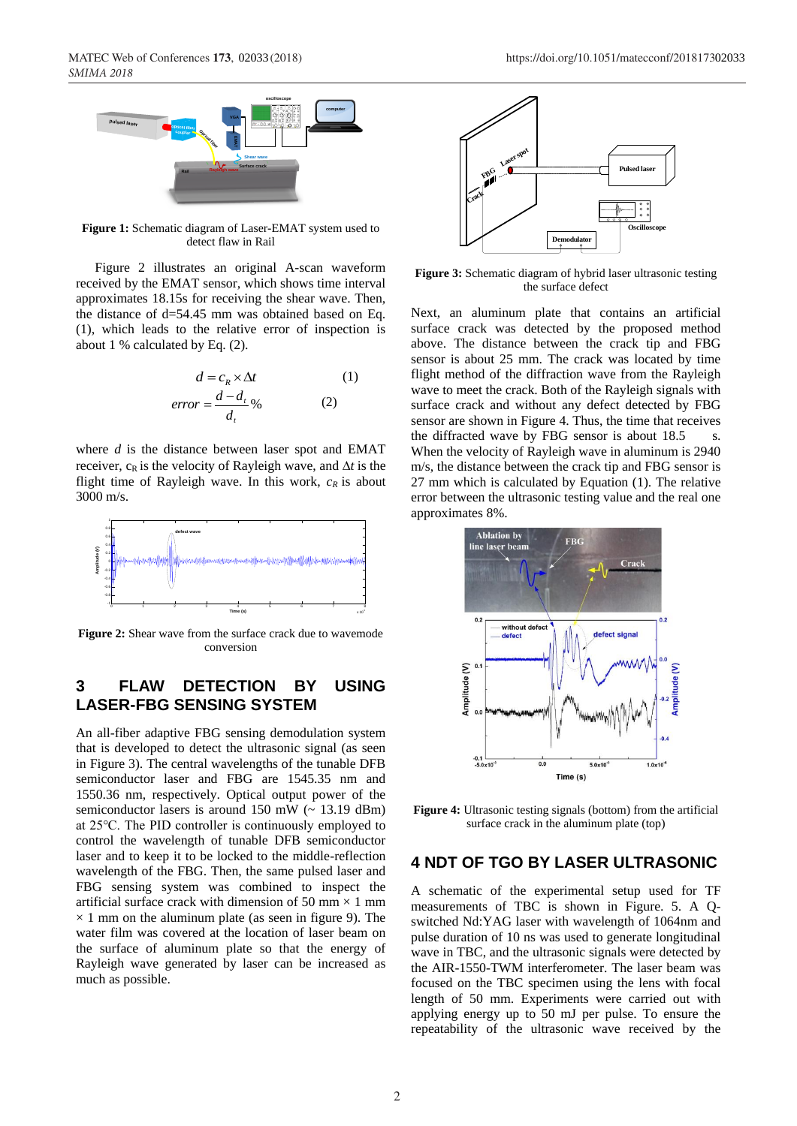

**Figure 1:** Schematic diagram of Laser-EMAT system used to detect flaw in Rail

Figure 2 illustrates an original A-scan waveform received by the EMAT sensor, which shows time interval approximates 18.15s for receiving the shear wave. Then, the distance of d=54.45 mm was obtained based on Eq. (1), which leads to the relative error of inspection is about 1 % calculated by Eq. (2).

$$
d = c_R \times \Delta t
$$
 (1)  
error = 
$$
\frac{d - d_t}{d_t}\%
$$
 (2)

where *d* is the distance between laser spot and EMAT receiver,  $c_R$  is the velocity of Rayleigh wave, and  $\Delta t$  is the flight time of Rayleigh wave. In this work,  $c_R$  is about 3000 m/s.



**Figure 2:** Shear wave from the surface crack due to wavemode conversion

### **3 FLAW DETECTION BY USING LASER-FBG SENSING SYSTEM**

An all-fiber adaptive FBG sensing demodulation system that is developed to detect the ultrasonic signal (as seen in Figure 3). The central wavelengths of the tunable DFB semiconductor laser and FBG are 1545.35 nm and 1550.36 nm, respectively. Optical output power of the semiconductor lasers is around 150 mW  $\left(\sim 13.19 \text{ dBm}\right)$ at 25℃. The PID controller is continuously employed to control the wavelength of tunable DFB semiconductor laser and to keep it to be locked to the middle-reflection wavelength of the FBG. Then, the same pulsed laser and FBG sensing system was combined to inspect the artificial surface crack with dimension of 50 mm  $\times$  1 mm  $\times$  1 mm on the aluminum plate (as seen in figure 9). The water film was covered at the location of laser beam on the surface of aluminum plate so that the energy of Rayleigh wave generated by laser can be increased as much as possible.



**Figure 3:** Schematic diagram of hybrid laser ultrasonic testing the surface defect

Next, an aluminum plate that contains an artificial surface crack was detected by the proposed method above. The distance between the crack tip and FBG sensor is about 25 mm. The crack was located by time flight method of the diffraction wave from the Rayleigh wave to meet the crack. Both of the Rayleigh signals with surface crack and without any defect detected by FBG sensor are shown in Figure 4. Thus, the time that receives the diffracted wave by FBG sensor is about  $18.5$  s. When the velocity of Rayleigh wave in aluminum is 2940 m/s, the distance between the crack tip and FBG sensor is 27 mm which is calculated by Equation (1). The relative error between the ultrasonic testing value and the real one approximates 8%.



**Figure 4:** Ultrasonic testing signals (bottom) from the artificial surface crack in the aluminum plate (top)

#### **4 NDT OF TGO BY LASER ULTRASONIC**

A schematic of the experimental setup used for TF measurements of TBC is shown in Figure. 5. A Qswitched Nd:YAG laser with wavelength of 1064nm and pulse duration of 10 ns was used to generate longitudinal wave in TBC, and the ultrasonic signals were detected by the AIR-1550-TWM interferometer. The laser beam was focused on the TBC specimen using the lens with focal length of 50 mm. Experiments were carried out with applying energy up to 50 mJ per pulse. To ensure the repeatability of the ultrasonic wave received by the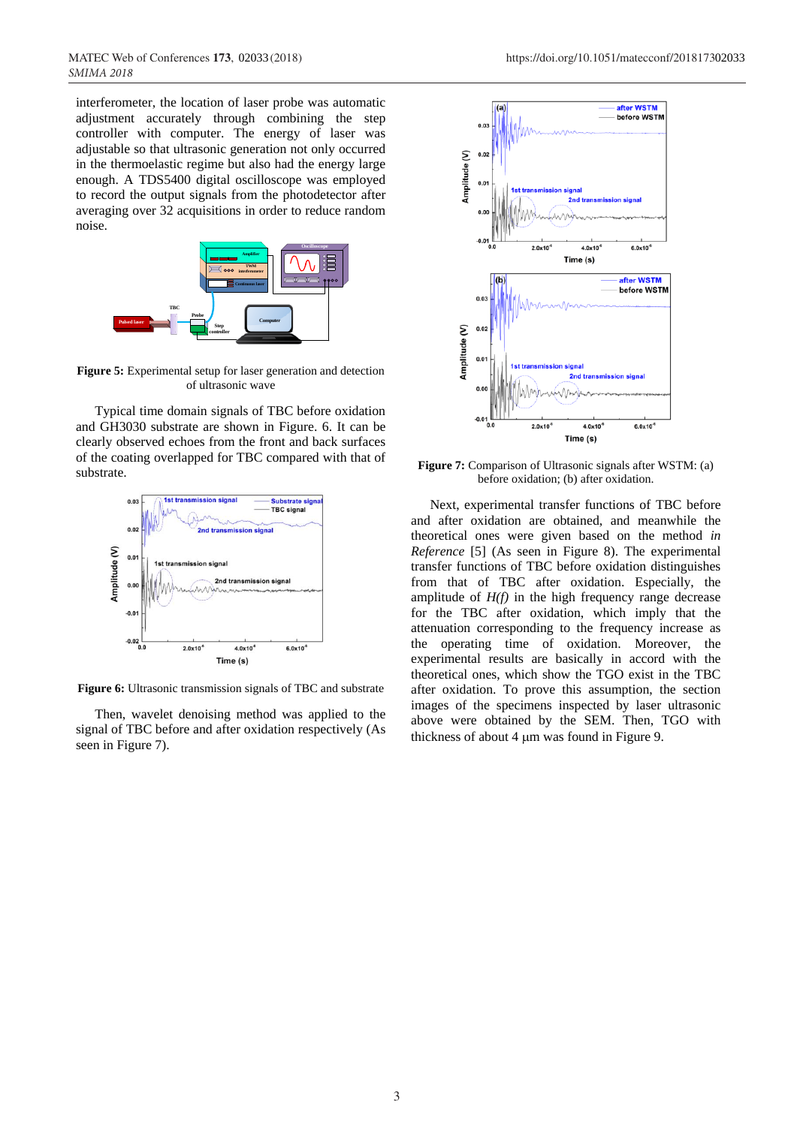interferometer, the location of laser probe was automatic adjustment accurately through combining the step controller with computer. The energy of laser was adjustable so that ultrasonic generation not only occurred in the thermoelastic regime but also had the energy large enough. A TDS5400 digital oscilloscope was employed to record the output signals from the photodetector after averaging over 32 acquisitions in order to reduce random noise.



**Figure 5:** Experimental setup for laser generation and detection of ultrasonic wave

Typical time domain signals of TBC before oxidation and GH3030 substrate are shown in Figure. 6. It can be clearly observed echoes from the front and back surfaces of the coating overlapped for TBC compared with that of substrate.



**Figure 6:** Ultrasonic transmission signals of TBC and substrate

Then, wavelet denoising method was applied to the signal of TBC before and after oxidation respectively (As seen in Figure 7).



**Figure 7:** Comparison of Ultrasonic signals after WSTM: (a) before oxidation; (b) after oxidation.

Next, experimental transfer functions of TBC before and after oxidation are obtained, and meanwhile the theoretical ones were given based on the method *in Reference* [5] (As seen in Figure 8). The experimental transfer functions of TBC before oxidation distinguishes from that of TBC after oxidation. Especially, the amplitude of  $H(f)$  in the high frequency range decrease for the TBC after oxidation, which imply that the attenuation corresponding to the frequency increase as the operating time of oxidation. Moreover, the experimental results are basically in accord with the theoretical ones, which show the TGO exist in the TBC after oxidation. To prove this assumption, the section images of the specimens inspected by laser ultrasonic above were obtained by the SEM. Then, TGO with thickness of about  $4 \mu m$  was found in Figure 9.